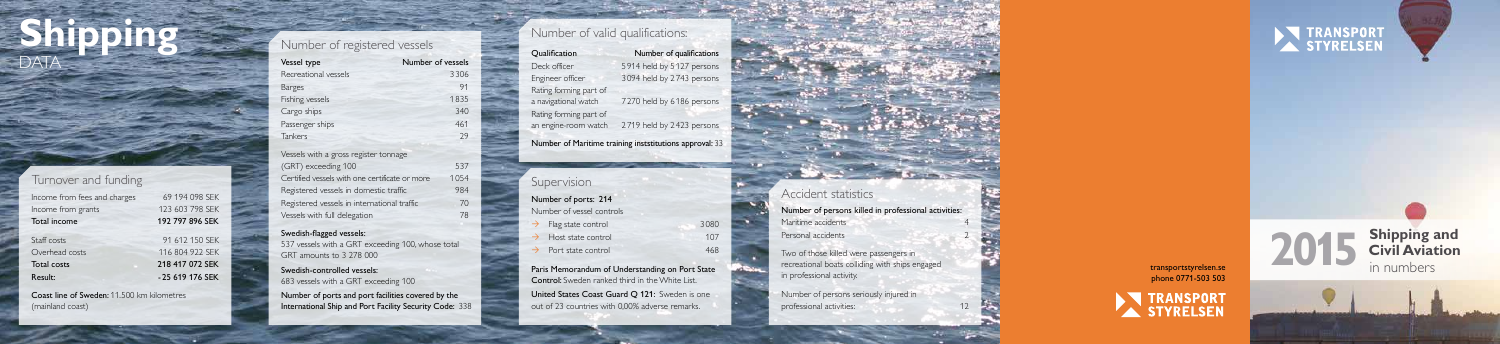

phone 0771-503 503



**Shipping**

DATA

# Turnover and funding

| 69 194 098 SEK  |
|-----------------|
| 123 603 798 SEK |
| 192 797 896 SEK |
| 91 612 150 SEK  |
| 116 804 922 SEK |
| 218 417 072 SEK |
| -25 619 176 SEK |
|                 |

Vessels with a gross register tonnage (GRT) exceeding 100 537 Certified vessels with one certificate or more 1054 Registered vessels in domestic traffic 984 Registered vessels in international traffic 70 Vessels with full delegation

Coast line of Sweden: 11.500 km kilometres (mainland coast)

# Number of registered vessels

| Vessel type          | Number of vessels |
|----------------------|-------------------|
| Recreational vessels | 3306              |
| <b>Barges</b>        | 91                |
| Fishing vessels      | 1835              |
| Cargo ships          | 340               |
| Passenger ships      | 461               |
| Tankers              | 29                |

Number of ports and port facilities covered by the International Ship and Port Facility Security Code: 338

#### Swedish-flagged vessels:

537 vessels with a GRT exceeding 100, whose total GRT amounts to 3 278 000

#### Swedish-controlled vessels: 683 vessels with a GRT exceeding 100

Number of persons seriously injured in professional activities: 12

| Qualification                                           | Number of qualifications  |  |
|---------------------------------------------------------|---------------------------|--|
| Deck officer                                            | 5914 held by 5127 persons |  |
| Engineer officer                                        | 3094 held by 2743 persons |  |
| Rating forming part of                                  |                           |  |
| a navigational watch                                    | 7270 held by 6186 persons |  |
| Rating forming part of                                  |                           |  |
| an engine-room watch                                    | 2719 held by 2423 persons |  |
| Number of Maritime training inststitutions approval: 33 |                           |  |

# **Supervision**

Number of ports: 214 Number of vessel controls

- **Flag state control** 3080
- Host state control 107
- $\rightarrow$  Port state control 468

Paris Memorandum of Understanding on Port State Control: Sweden ranked third in the White List. United States Coast Guard Q 121: Sweden is one out of 23 countries with 0,00% adverse remarks.

# Number of valid qualifications:

Number of persons killed in professional activities: Maritime accidents Personal accidents

 $\mathbf{r} = \mathbf{r} - \mathbf{r}$  . The state  $\mathbf{r}$ 

2





Two of those killed were passengers in recreational boats colliding with ships engaged in professional activity.

# Accident statistics